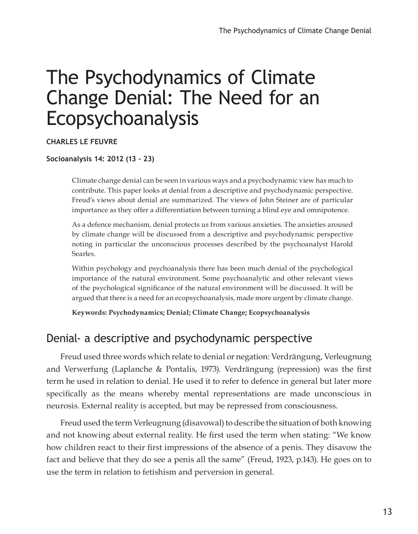# The Psychodynamics of Climate Change Denial: The Need for an Ecopsychoanalysis

#### **CHARLES Le FEUVRE**

#### **Socioanalysis 14: 2012 (13 - 23)**

Climate change denial can be seen in various ways and a psychodynamic view has much to contribute. This paper looks at denial from a descriptive and psychodynamic perspective. Freud's views about denial are summarized. The views of John Steiner are of particular importance as they offer a differentiation between turning a blind eye and omnipotence.

As a defence mechanism, denial protects us from various anxieties. The anxieties aroused by climate change will be discussed from a descriptive and psychodynamic perspective noting in particular the unconscious processes described by the psychoanalyst Harold Searles.

Within psychology and psychoanalysis there has been much denial of the psychological importance of the natural environment. Some psychoanalytic and other relevant views of the psychological significance of the natural environment will be discussed. It will be argued that there is a need for an ecopsychoanalysis, made more urgent by climate change.

**Keywords: Psychodynamics; Denial; Climate Change; Ecopsychoanalysis**

#### Denial- a descriptive and psychodynamic perspective

Freud used three words which relate to denial or negation: Verdrängung, Verleugnung and Verwerfung (Laplanche & Pontalis, 1973). Verdrängung (repression) was the first term he used in relation to denial. He used it to refer to defence in general but later more specifically as the means whereby mental representations are made unconscious in neurosis. External reality is accepted, but may be repressed from consciousness.

Freud used the term Verleugnung (disavowal) to describe the situation of both knowing and not knowing about external reality. He first used the term when stating: "We know how children react to their first impressions of the absence of a penis. They disavow the fact and believe that they do see a penis all the same" (Freud, 1923, p.143). He goes on to use the term in relation to fetishism and perversion in general.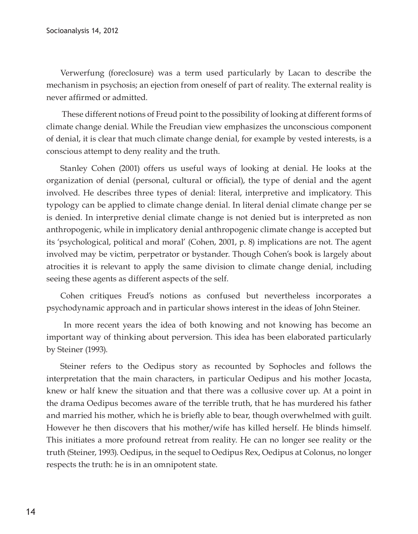Verwerfung (foreclosure) was a term used particularly by Lacan to describe the mechanism in psychosis; an ejection from oneself of part of reality. The external reality is never affirmed or admitted.

 These different notions of Freud point to the possibility of looking at different forms of climate change denial. While the Freudian view emphasizes the unconscious component of denial, it is clear that much climate change denial, for example by vested interests, is a conscious attempt to deny reality and the truth.

Stanley Cohen (2001) offers us useful ways of looking at denial. He looks at the organization of denial (personal, cultural or official), the type of denial and the agent involved. He describes three types of denial: literal, interpretive and implicatory. This typology can be applied to climate change denial. In literal denial climate change per se is denied. In interpretive denial climate change is not denied but is interpreted as non anthropogenic, while in implicatory denial anthropogenic climate change is accepted but its 'psychological, political and moral' (Cohen, 2001, p. 8) implications are not. The agent involved may be victim, perpetrator or bystander. Though Cohen's book is largely about atrocities it is relevant to apply the same division to climate change denial, including seeing these agents as different aspects of the self.

Cohen critiques Freud's notions as confused but nevertheless incorporates a psychodynamic approach and in particular shows interest in the ideas of John Steiner.

 In more recent years the idea of both knowing and not knowing has become an important way of thinking about perversion. This idea has been elaborated particularly by Steiner (1993).

Steiner refers to the Oedipus story as recounted by Sophocles and follows the interpretation that the main characters, in particular Oedipus and his mother Jocasta, knew or half knew the situation and that there was a collusive cover up. At a point in the drama Oedipus becomes aware of the terrible truth, that he has murdered his father and married his mother, which he is briefly able to bear, though overwhelmed with guilt. However he then discovers that his mother/wife has killed herself. He blinds himself. This initiates a more profound retreat from reality. He can no longer see reality or the truth (Steiner, 1993). Oedipus, in the sequel to Oedipus Rex, Oedipus at Colonus, no longer respects the truth: he is in an omnipotent state.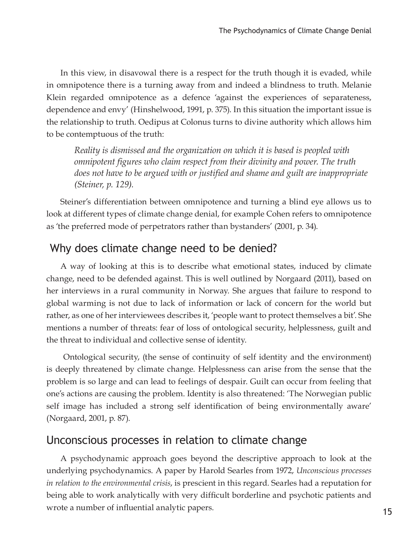In this view, in disavowal there is a respect for the truth though it is evaded, while in omnipotence there is a turning away from and indeed a blindness to truth. Melanie Klein regarded omnipotence as a defence 'against the experiences of separateness, dependence and envy' (Hinshelwood, 1991, p. 375). In this situation the important issue is the relationship to truth. Oedipus at Colonus turns to divine authority which allows him to be contemptuous of the truth:

*Reality is dismissed and the organization on which it is based is peopled with omnipotent figures who claim respect from their divinity and power. The truth does not have to be argued with or justified and shame and guilt are inappropriate (Steiner, p. 129).*

Steiner's differentiation between omnipotence and turning a blind eye allows us to look at different types of climate change denial, for example Cohen refers to omnipotence as 'the preferred mode of perpetrators rather than bystanders' (2001, p. 34).

## Why does climate change need to be denied?

A way of looking at this is to describe what emotional states, induced by climate change, need to be defended against. This is well outlined by Norgaard (2011), based on her interviews in a rural community in Norway. She argues that failure to respond to global warming is not due to lack of information or lack of concern for the world but rather, as one of her interviewees describes it, 'people want to protect themselves a bit'. She mentions a number of threats: fear of loss of ontological security, helplessness, guilt and the threat to individual and collective sense of identity.

 Ontological security, (the sense of continuity of self identity and the environment) is deeply threatened by climate change. Helplessness can arise from the sense that the problem is so large and can lead to feelings of despair. Guilt can occur from feeling that one's actions are causing the problem. Identity is also threatened: 'The Norwegian public self image has included a strong self identification of being environmentally aware' (Norgaard, 2001, p. 87).

#### Unconscious processes in relation to climate change

A psychodynamic approach goes beyond the descriptive approach to look at the underlying psychodynamics. A paper by Harold Searles from 1972, *Unconscious processes in relation to the environmental crisis*, is prescient in this regard. Searles had a reputation for being able to work analytically with very difficult borderline and psychotic patients and wrote a number of influential analytic papers.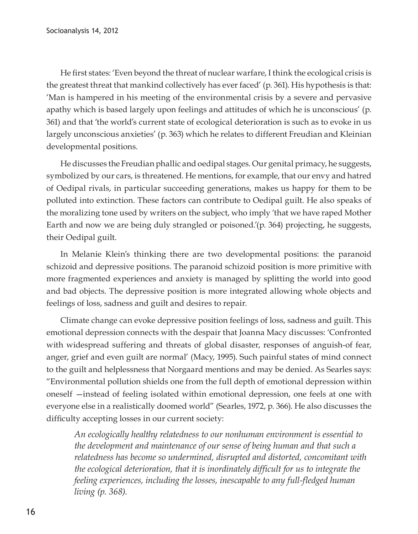He first states: 'Even beyond the threat of nuclear warfare, I think the ecological crisis is the greatest threat that mankind collectively has ever faced' (p. 361). His hypothesis is that: 'Man is hampered in his meeting of the environmental crisis by a severe and pervasive apathy which is based largely upon feelings and attitudes of which he is unconscious' (p. 361) and that 'the world's current state of ecological deterioration is such as to evoke in us largely unconscious anxieties' (p. 363) which he relates to different Freudian and Kleinian developmental positions.

He discusses the Freudian phallic and oedipal stages. Our genital primacy, he suggests, symbolized by our cars, is threatened. He mentions, for example, that our envy and hatred of Oedipal rivals, in particular succeeding generations, makes us happy for them to be polluted into extinction. These factors can contribute to Oedipal guilt. He also speaks of the moralizing tone used by writers on the subject, who imply 'that we have raped Mother Earth and now we are being duly strangled or poisoned.'(p. 364) projecting, he suggests, their Oedipal guilt.

In Melanie Klein's thinking there are two developmental positions: the paranoid schizoid and depressive positions. The paranoid schizoid position is more primitive with more fragmented experiences and anxiety is managed by splitting the world into good and bad objects. The depressive position is more integrated allowing whole objects and feelings of loss, sadness and guilt and desires to repair.

Climate change can evoke depressive position feelings of loss, sadness and guilt. This emotional depression connects with the despair that Joanna Macy discusses: 'Confronted with widespread suffering and threats of global disaster, responses of anguish-of fear, anger, grief and even guilt are normal' (Macy, 1995). Such painful states of mind connect to the guilt and helplessness that Norgaard mentions and may be denied. As Searles says: "Environmental pollution shields one from the full depth of emotional depression within oneself —instead of feeling isolated within emotional depression, one feels at one with everyone else in a realistically doomed world" (Searles, 1972, p. 366). He also discusses the difficulty accepting losses in our current society:

*An ecologically healthy relatedness to our nonhuman environment is essential to the development and maintenance of our sense of being human and that such a relatedness has become so undermined, disrupted and distorted, concomitant with the ecological deterioration, that it is inordinately difficult for us to integrate the feeling experiences, including the losses, inescapable to any full-fledged human living (p. 368).*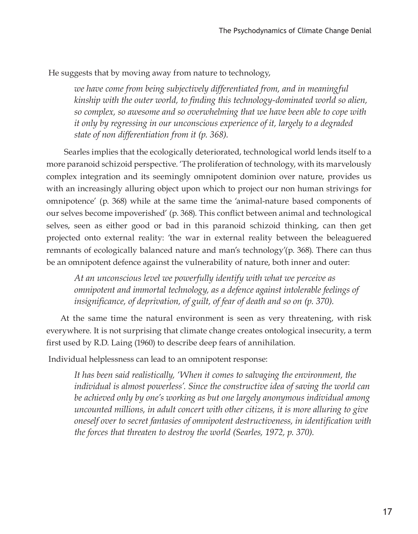He suggests that by moving away from nature to technology,

*we have come from being subjectively differentiated from, and in meaningful kinship with the outer world, to finding this technology-dominated world so alien, so complex, so awesome and so overwhelming that we have been able to cope with it only by regressing in our unconscious experience of it, largely to a degraded state of non differentiation from it (p. 368).*

 Searles implies that the ecologically deteriorated, technological world lends itself to a more paranoid schizoid perspective. 'The proliferation of technology, with its marvelously complex integration and its seemingly omnipotent dominion over nature, provides us with an increasingly alluring object upon which to project our non human strivings for omnipotence' (p. 368) while at the same time the 'animal-nature based components of our selves become impoverished' (p. 368). This conflict between animal and technological selves, seen as either good or bad in this paranoid schizoid thinking, can then get projected onto external reality: 'the war in external reality between the beleaguered remnants of ecologically balanced nature and man's technology'(p. 368). There can thus be an omnipotent defence against the vulnerability of nature, both inner and outer:

*At an unconscious level we powerfully identify with what we perceive as omnipotent and immortal technology, as a defence against intolerable feelings of insignificance, of deprivation, of guilt, of fear of death and so on (p. 370).* 

At the same time the natural environment is seen as very threatening, with risk everywhere. It is not surprising that climate change creates ontological insecurity, a term first used by R.D. Laing (1960) to describe deep fears of annihilation.

Individual helplessness can lead to an omnipotent response:

*It has been said realistically, 'When it comes to salvaging the environment, the individual is almost powerless'. Since the constructive idea of saving the world can be achieved only by one's working as but one largely anonymous individual among uncounted millions, in adult concert with other citizens, it is more alluring to give oneself over to secret fantasies of omnipotent destructiveness, in identification with the forces that threaten to destroy the world (Searles, 1972, p. 370).*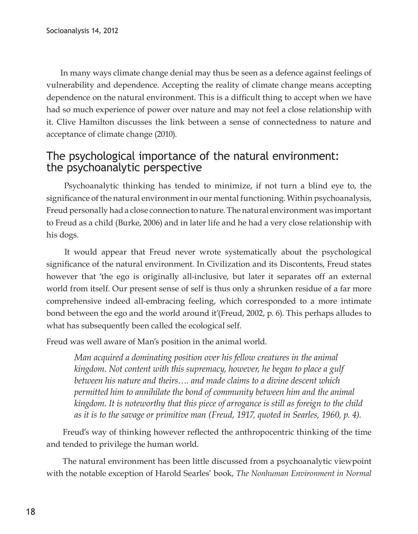In many ways climate change denial may thus be seen as a defence against feelings of vulnerability and dependence. Accepting the reality of climate change means accepting dependence on the natural environment. This is a difficult thing to accept when we have had so much experience of power over nature and may not feel a close relationship with it. Clive Hamilton discusses the link between a sense of connectedness to nature and acceptance of climate change (2010).

## The psychological importance of the natural environment: the psychoanalytic perspective

 Psychoanalytic thinking has tended to minimize, if not turn a blind eye to, the significance of the natural environment in our mental functioning. Within psychoanalysis, Freud personally had a close connection to nature. The natural environment was important to Freud as a child (Burke, 2006) and in later life and he had a very close relationship with his dogs.

 It would appear that Freud never wrote systematically about the psychological significance of the natural environment. In Civilization and its Discontents, Freud states however that 'the ego is originally all-inclusive, but later it separates off an external world from itself. Our present sense of self is thus only a shrunken residue of a far more comprehensive indeed all-embracing feeling, which corresponded to a more intimate bond between the ego and the world around it'(Freud, 2002, p. 6). This perhaps alludes to what has subsequently been called the ecological self.

Freud was well aware of Man's position in the animal world.

*Man acquired a dominating position over his fellow creatures in the animal kingdom. Not content with this supremacy, however, he began to place a gulf between his nature and theirs…. and made claims to a divine descent which permitted him to annihilate the bond of community between him and the animal kingdom. It is noteworthy that this piece of arrogance is still as foreign to the child as it is to the savage or primitive man (Freud, 1917, quoted in Searles, 1960, p. 4).* 

 Freud's way of thinking however reflected the anthropocentric thinking of the time and tended to privilege the human world.

 The natural environment has been little discussed from a psychoanalytic viewpoint with the notable exception of Harold Searles' book, *The Nonhuman Environment in Normal*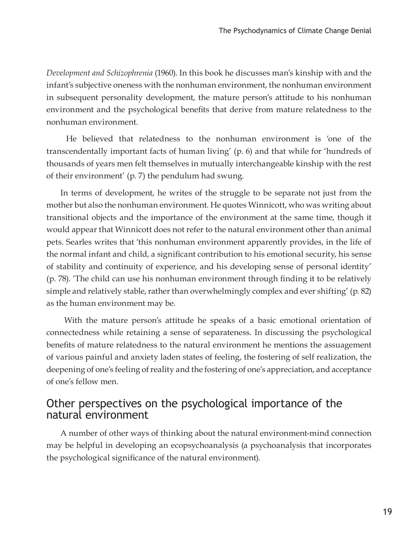*Development and Schizophrenia* (1960). In this book he discusses man's kinship with and the infant's subjective oneness with the nonhuman environment, the nonhuman environment in subsequent personality development, the mature person's attitude to his nonhuman environment and the psychological benefits that derive from mature relatedness to the nonhuman environment.

 He believed that relatedness to the nonhuman environment is 'one of the transcendentally important facts of human living' (p. 6) and that while for 'hundreds of thousands of years men felt themselves in mutually interchangeable kinship with the rest of their environment' (p. 7) the pendulum had swung.

In terms of development, he writes of the struggle to be separate not just from the mother but also the nonhuman environment. He quotes Winnicott, who was writing about transitional objects and the importance of the environment at the same time, though it would appear that Winnicott does not refer to the natural environment other than animal pets. Searles writes that 'this nonhuman environment apparently provides, in the life of the normal infant and child, a significant contribution to his emotional security, his sense of stability and continuity of experience, and his developing sense of personal identity' (p. 78). 'The child can use his nonhuman environment through finding it to be relatively simple and relatively stable, rather than overwhelmingly complex and ever shifting' (p. 82) as the human environment may be.

 With the mature person's attitude he speaks of a basic emotional orientation of connectedness while retaining a sense of separateness. In discussing the psychological benefits of mature relatedness to the natural environment he mentions the assuagement of various painful and anxiety laden states of feeling, the fostering of self realization, the deepening of one's feeling of reality and the fostering of one's appreciation, and acceptance of one's fellow men.

#### Other perspectives on the psychological importance of the natural environment

A number of other ways of thinking about the natural environment-mind connection may be helpful in developing an ecopsychoanalysis (a psychoanalysis that incorporates the psychological significance of the natural environment).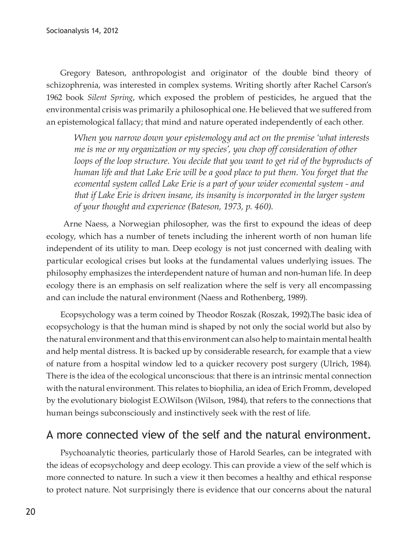Gregory Bateson, anthropologist and originator of the double bind theory of schizophrenia, was interested in complex systems. Writing shortly after Rachel Carson's 1962 book *Silent Spring*, which exposed the problem of pesticides, he argued that the environmental crisis was primarily a philosophical one. He believed that we suffered from an epistemological fallacy; that mind and nature operated independently of each other.

*When you narrow down your epistemology and act on the premise 'what interests me is me or my organization or my species', you chop off consideration of other loops of the loop structure. You decide that you want to get rid of the byproducts of human life and that Lake Erie will be a good place to put them. You forget that the ecomental system called Lake Erie is a part of your wider ecomental system - and that if Lake Erie is driven insane, its insanity is incorporated in the larger system of your thought and experience (Bateson, 1973, p. 460).*

 Arne Naess, a Norwegian philosopher, was the first to expound the ideas of deep ecology, which has a number of tenets including the inherent worth of non human life independent of its utility to man. Deep ecology is not just concerned with dealing with particular ecological crises but looks at the fundamental values underlying issues. The philosophy emphasizes the interdependent nature of human and non-human life. In deep ecology there is an emphasis on self realization where the self is very all encompassing and can include the natural environment (Naess and Rothenberg, 1989).

Ecopsychology was a term coined by Theodor Roszak (Roszak, 1992).The basic idea of ecopsychology is that the human mind is shaped by not only the social world but also by the natural environment and that this environment can also help to maintain mental health and help mental distress. It is backed up by considerable research, for example that a view of nature from a hospital window led to a quicker recovery post surgery (Ulrich, 1984). There is the idea of the ecological unconscious: that there is an intrinsic mental connection with the natural environment. This relates to biophilia, an idea of Erich Fromm, developed by the evolutionary biologist E.O.Wilson (Wilson, 1984), that refers to the connections that human beings subconsciously and instinctively seek with the rest of life.

#### A more connected view of the self and the natural environment.

Psychoanalytic theories, particularly those of Harold Searles, can be integrated with the ideas of ecopsychology and deep ecology. This can provide a view of the self which is more connected to nature. In such a view it then becomes a healthy and ethical response to protect nature. Not surprisingly there is evidence that our concerns about the natural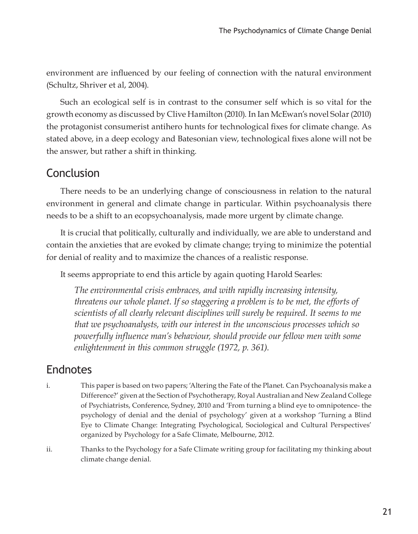environment are influenced by our feeling of connection with the natural environment (Schultz, Shriver et al, 2004).

Such an ecological self is in contrast to the consumer self which is so vital for the growth economy as discussed by Clive Hamilton (2010). In Ian McEwan's novel Solar (2010) the protagonist consumerist antihero hunts for technological fixes for climate change. As stated above, in a deep ecology and Batesonian view, technological fixes alone will not be the answer, but rather a shift in thinking.

#### Conclusion

There needs to be an underlying change of consciousness in relation to the natural environment in general and climate change in particular. Within psychoanalysis there needs to be a shift to an ecopsychoanalysis, made more urgent by climate change.

It is crucial that politically, culturally and individually, we are able to understand and contain the anxieties that are evoked by climate change; trying to minimize the potential for denial of reality and to maximize the chances of a realistic response.

It seems appropriate to end this article by again quoting Harold Searles:

*The environmental crisis embraces, and with rapidly increasing intensity, threatens our whole planet. If so staggering a problem is to be met, the efforts of scientists of all clearly relevant disciplines will surely be required. It seems to me that we psychoanalysts, with our interest in the unconscious processes which so powerfully influence man's behaviour, should provide our fellow men with some enlightenment in this common struggle (1972, p. 361).*

## Endnotes

- i. This paper is based on two papers; 'Altering the Fate of the Planet. Can Psychoanalysis make a Difference?' given at the Section of Psychotherapy, Royal Australian and New Zealand College of Psychiatrists, Conference, Sydney, 2010 and 'From turning a blind eye to omnipotence- the psychology of denial and the denial of psychology' given at a workshop 'Turning a Blind Eye to Climate Change: Integrating Psychological, Sociological and Cultural Perspectives' organized by Psychology for a Safe Climate, Melbourne, 2012.
- ii. Thanks to the Psychology for a Safe Climate writing group for facilitating my thinking about climate change denial.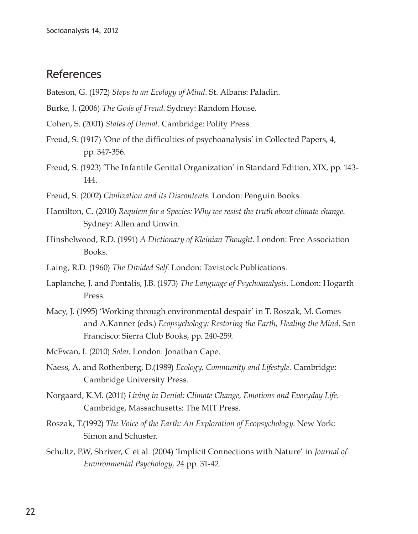#### References

- Bateson, G. (1972) *Steps to an Ecology of Mind*. St. Albans: Paladin.
- Burke, J. (2006) *The Gods of Freud*. Sydney: Random House.
- Cohen, S. (2001) *States of Denial*. Cambridge: Polity Press.
- Freud, S. (1917) 'One of the difficulties of psychoanalysis' in Collected Papers, 4, pp. 347-356.
- Freud, S. (1923) 'The Infantile Genital Organization' in Standard Edition, XIX, pp. 143- 144.
- Freud, S. (2002) *Civilization and its Discontents*. London: Penguin Books.
- Hamilton, C. (2010) *Requiem for a Species: Why we resist the truth about climate change*. Sydney: Allen and Unwin.
- Hinshelwood, R.D. (1991) *A Dictionary of Kleinian Thought.* London: Free Association Books.
- Laing, R.D. (1960) *The Divided Self*. London: Tavistock Publications.
- Laplanche, J. and Pontalis, J.B. (1973) *The Language of Psychoanalysis*. London: Hogarth Press.
- Macy, J. (1995) 'Working through environmental despair' in T. Roszak, M. Gomes and A.Kanner (eds.) *Ecopsychology: Restoring the Earth, Healing the Mind*. San Francisco: Sierra Club Books, pp. 240-259.
- McEwan, I. (2010) *Solar*. London: Jonathan Cape.
- Naess, A. and Rothenberg, D.(1989) *Ecology, Community and Lifestyle.* Cambridge: Cambridge University Press.
- Norgaard, K.M. (2011) *Living in Denial: Climate Change, Emotions and Everyday Life*. Cambridge, Massachusetts: The MIT Press.
- Roszak, T.(1992) *The Voice of the Earth: An Exploration of Ecopsychology*. New York: Simon and Schuster.
- Schultz, P.W, Shriver, C et al. (2004) 'Implicit Connections with Nature' in *Journal of Environmental Psychology,* 24 pp. 31-42.